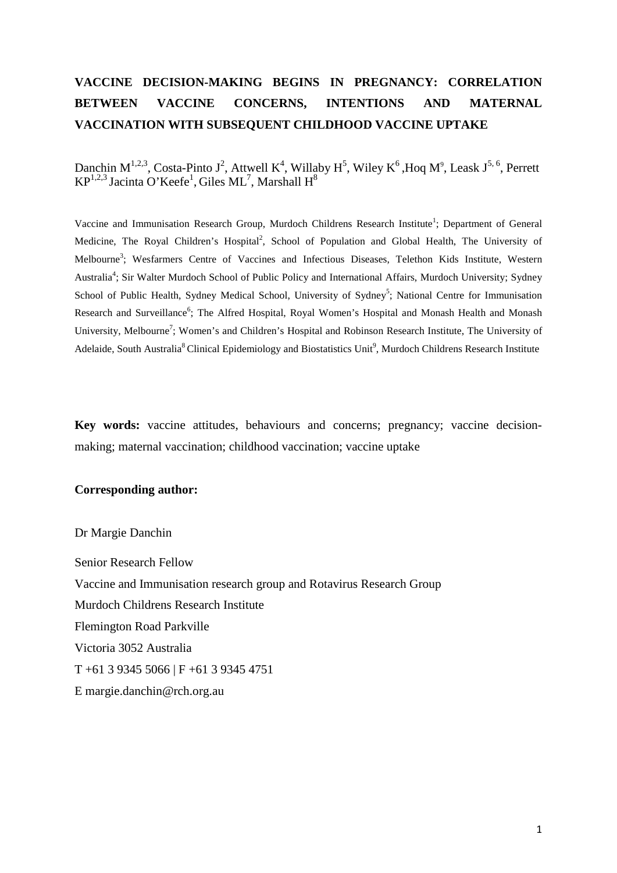# **VACCINE DECISION-MAKING BEGINS IN PREGNANCY: CORRELATION BETWEEN VACCINE CONCERNS, INTENTIONS AND MATERNAL VACCINATION WITH SUBSEQUENT CHILDHOOD VACCINE UPTAKE**

Danchin M<sup>1,2,3</sup>, Costa-Pinto J<sup>2</sup>, Attwell K<sup>4</sup>, Willaby H<sup>5</sup>, Wiley K<sup>6</sup>, Hoq M<sup>9</sup>, Leask J<sup>5, 6</sup>, Perrett  $KP^{1,2,3}$  Jacinta O'Keefe<sup>1</sup>, Giles ML<sup>7</sup>, Marshall H<sup>8</sup>

Vaccine and Immunisation Research Group, Murdoch Childrens Research Institute<sup>1</sup>; Department of General Medicine, The Royal Children's Hospital<sup>2</sup>, School of Population and Global Health, The University of Melbourne<sup>3</sup>; Wesfarmers Centre of Vaccines and Infectious Diseases, Telethon Kids Institute, Western Australia<sup>4</sup>; Sir Walter Murdoch School of Public Policy and International Affairs, Murdoch University; Sydney School of Public Health, Sydney Medical School, University of Sydney<sup>5</sup>; National Centre for Immunisation Research and Surveillance<sup>6</sup>; The Alfred Hospital, Royal Women's Hospital and Monash Health and Monash University, Melbourne<sup>7</sup>; Women's and Children's Hospital and Robinson Research Institute, The University of Adelaide, South Australia<sup>8</sup> Clinical Epidemiology and Biostatistics Unit<sup>9</sup>, Murdoch Childrens Research Institute

**Key words:** vaccine attitudes, behaviours and concerns; pregnancy; vaccine decisionmaking; maternal vaccination; childhood vaccination; vaccine uptake

### **Corresponding author:**

Dr Margie Danchin Senior Research Fellow Vaccine and Immunisation research group and Rotavirus Research Group Murdoch Childrens Research Institute Flemington Road Parkville Victoria 3052 Australia T +61 3 9345 5066 | F +61 3 9345 4751 E margie.danchin@rch.org.au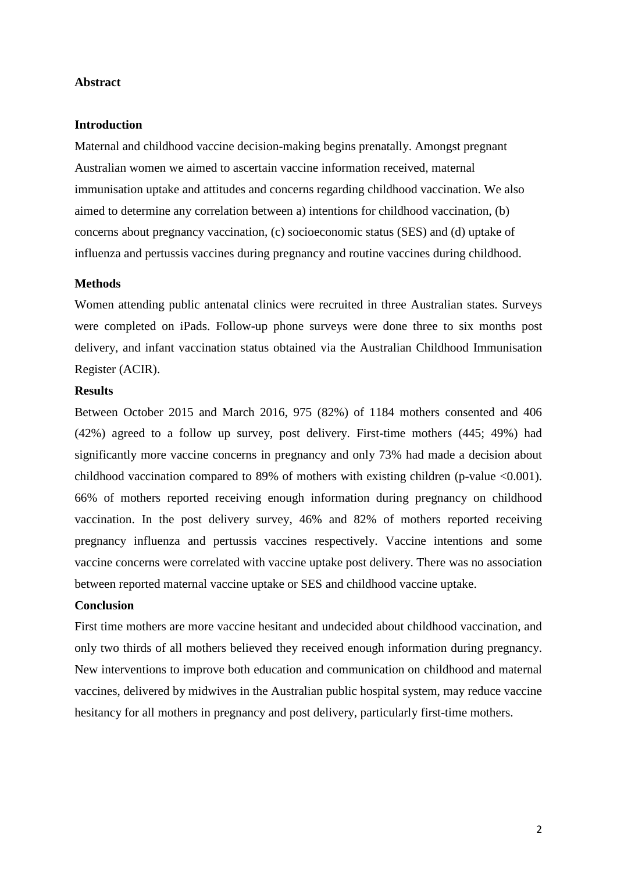# **Abstract**

## **Introduction**

Maternal and childhood vaccine decision-making begins prenatally. Amongst pregnant Australian women we aimed to ascertain vaccine information received, maternal immunisation uptake and attitudes and concerns regarding childhood vaccination. We also aimed to determine any correlation between a) intentions for childhood vaccination, (b) concerns about pregnancy vaccination, (c) socioeconomic status (SES) and (d) uptake of influenza and pertussis vaccines during pregnancy and routine vaccines during childhood.

#### **Methods**

Women attending public antenatal clinics were recruited in three Australian states. Surveys were completed on iPads. Follow-up phone surveys were done three to six months post delivery, and infant vaccination status obtained via the Australian Childhood Immunisation Register (ACIR).

# **Results**

Between October 2015 and March 2016, 975 (82%) of 1184 mothers consented and 406 (42%) agreed to a follow up survey, post delivery. First-time mothers (445; 49%) had significantly more vaccine concerns in pregnancy and only 73% had made a decision about childhood vaccination compared to 89% of mothers with existing children (p-value <0.001). 66% of mothers reported receiving enough information during pregnancy on childhood vaccination. In the post delivery survey, 46% and 82% of mothers reported receiving pregnancy influenza and pertussis vaccines respectively. Vaccine intentions and some vaccine concerns were correlated with vaccine uptake post delivery. There was no association between reported maternal vaccine uptake or SES and childhood vaccine uptake.

## **Conclusion**

First time mothers are more vaccine hesitant and undecided about childhood vaccination, and only two thirds of all mothers believed they received enough information during pregnancy. New interventions to improve both education and communication on childhood and maternal vaccines, delivered by midwives in the Australian public hospital system, may reduce vaccine hesitancy for all mothers in pregnancy and post delivery, particularly first-time mothers.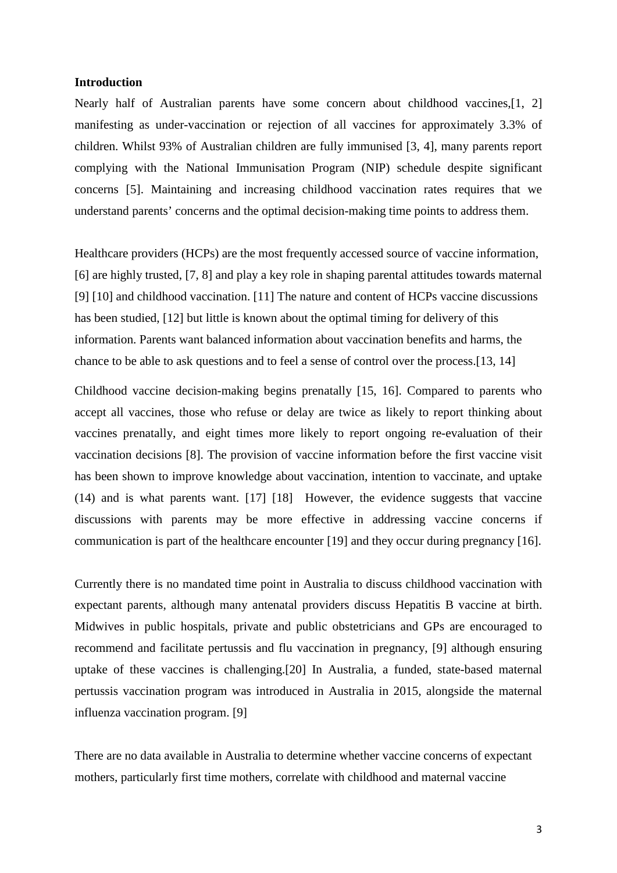## **Introduction**

Nearly half of Australian parents have some concern about childhood vaccines,[1, 2] manifesting as under-vaccination or rejection of all vaccines for approximately 3.3% of children. Whilst 93% of Australian children are fully immunised [3, 4], many parents report complying with the National Immunisation Program (NIP) schedule despite significant concerns [5]. Maintaining and increasing childhood vaccination rates requires that we understand parents' concerns and the optimal decision-making time points to address them.

Healthcare providers (HCPs) are the most frequently accessed source of vaccine information, [6] are highly trusted, [7, 8] and play a key role in shaping parental attitudes towards maternal [9] [10] and childhood vaccination. [11] The nature and content of HCPs vaccine discussions has been studied, [12] but little is known about the optimal timing for delivery of this information. Parents want balanced information about vaccination benefits and harms, the chance to be able to ask questions and to feel a sense of control over the process.[13, 14]

Childhood vaccine decision-making begins prenatally [15, 16]. Compared to parents who accept all vaccines, those who refuse or delay are twice as likely to report thinking about vaccines prenatally, and eight times more likely to report ongoing re-evaluation of their vaccination decisions [8]. The provision of vaccine information before the first vaccine visit has been shown to improve knowledge about vaccination, intention to vaccinate, and uptake (14) and is what parents want. [17] [18] However, the evidence suggests that vaccine discussions with parents may be more effective in addressing vaccine concerns if communication is part of the healthcare encounter [19] and they occur during pregnancy [16].

Currently there is no mandated time point in Australia to discuss childhood vaccination with expectant parents, although many antenatal providers discuss Hepatitis B vaccine at birth. Midwives in public hospitals, private and public obstetricians and GPs are encouraged to recommend and facilitate pertussis and flu vaccination in pregnancy, [9] although ensuring uptake of these vaccines is challenging.[20] In Australia, a funded, state-based maternal pertussis vaccination program was introduced in Australia in 2015, alongside the maternal influenza vaccination program. [9]

There are no data available in Australia to determine whether vaccine concerns of expectant mothers, particularly first time mothers, correlate with childhood and maternal vaccine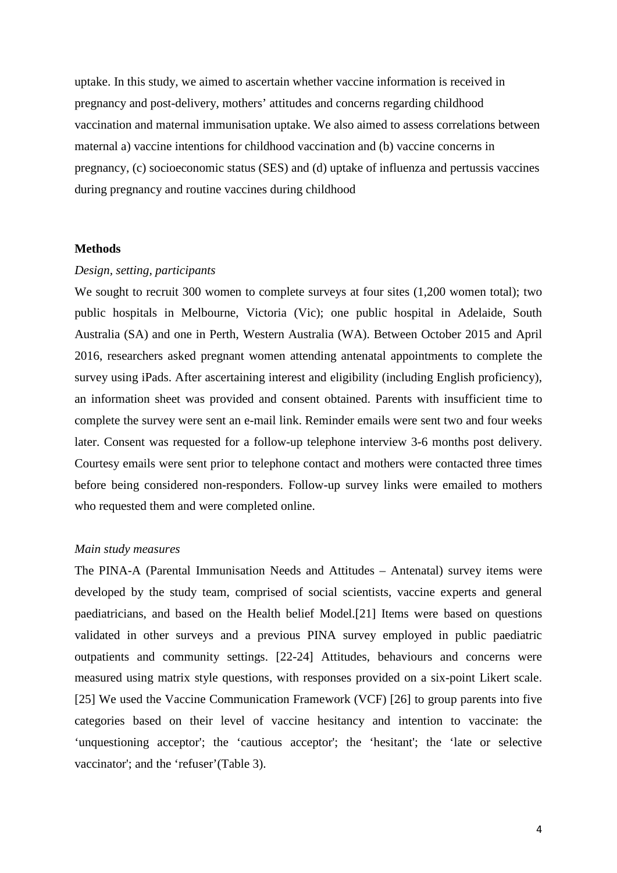uptake. In this study, we aimed to ascertain whether vaccine information is received in pregnancy and post-delivery, mothers' attitudes and concerns regarding childhood vaccination and maternal immunisation uptake. We also aimed to assess correlations between maternal a) vaccine intentions for childhood vaccination and (b) vaccine concerns in pregnancy, (c) socioeconomic status (SES) and (d) uptake of influenza and pertussis vaccines during pregnancy and routine vaccines during childhood

#### **Methods**

# *Design, setting, participants*

We sought to recruit 300 women to complete surveys at four sites  $(1,200)$  women total); two public hospitals in Melbourne, Victoria (Vic); one public hospital in Adelaide, South Australia (SA) and one in Perth, Western Australia (WA). Between October 2015 and April 2016, researchers asked pregnant women attending antenatal appointments to complete the survey using iPads. After ascertaining interest and eligibility (including English proficiency), an information sheet was provided and consent obtained. Parents with insufficient time to complete the survey were sent an e-mail link. Reminder emails were sent two and four weeks later. Consent was requested for a follow-up telephone interview 3-6 months post delivery. Courtesy emails were sent prior to telephone contact and mothers were contacted three times before being considered non-responders. Follow-up survey links were emailed to mothers who requested them and were completed online.

## *Main study measures*

The PINA-A (Parental Immunisation Needs and Attitudes – Antenatal) survey items were developed by the study team, comprised of social scientists, vaccine experts and general paediatricians, and based on the Health belief Model.[21] Items were based on questions validated in other surveys and a previous PINA survey employed in public paediatric outpatients and community settings. [22-24] Attitudes, behaviours and concerns were measured using matrix style questions, with responses provided on a six-point Likert scale. [25] We used the Vaccine Communication Framework (VCF) [26] to group parents into five categories based on their level of vaccine hesitancy and intention to vaccinate: the 'unquestioning acceptor'; the 'cautious acceptor'; the 'hesitant'; the 'late or selective vaccinator'; and the 'refuser'(Table 3).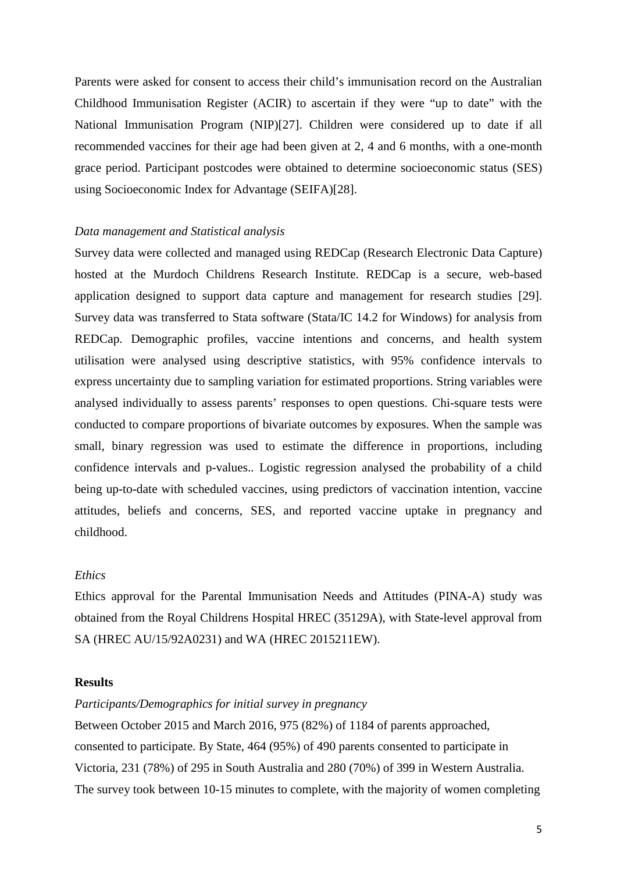Parents were asked for consent to access their child's immunisation record on the Australian Childhood Immunisation Register (ACIR) to ascertain if they were "up to date" with the National Immunisation Program (NIP)[27]. Children were considered up to date if all recommended vaccines for their age had been given at 2, 4 and 6 months, with a one-month grace period. Participant postcodes were obtained to determine socioeconomic status (SES) using Socioeconomic Index for Advantage (SEIFA)[28].

#### *Data management and Statistical analysis*

Survey data were collected and managed using REDCap (Research Electronic Data Capture) hosted at the Murdoch Childrens Research Institute. REDCap is a secure, web-based application designed to support data capture and management for research studies [29]. Survey data was transferred to Stata software (Stata/IC 14.2 for Windows) for analysis from REDCap. Demographic profiles, vaccine intentions and concerns, and health system utilisation were analysed using descriptive statistics, with 95% confidence intervals to express uncertainty due to sampling variation for estimated proportions. String variables were analysed individually to assess parents' responses to open questions. Chi-square tests were conducted to compare proportions of bivariate outcomes by exposures. When the sample was small, binary regression was used to estimate the difference in proportions, including confidence intervals and p-values.. Logistic regression analysed the probability of a child being up-to-date with scheduled vaccines, using predictors of vaccination intention, vaccine attitudes, beliefs and concerns, SES, and reported vaccine uptake in pregnancy and childhood.

## *Ethics*

Ethics approval for the Parental Immunisation Needs and Attitudes (PINA-A) study was obtained from the Royal Childrens Hospital HREC (35129A), with State-level approval from SA (HREC AU/15/92A0231) and WA (HREC 2015211EW).

## **Results**

#### *Participants/Demographics for initial survey in pregnancy*

Between October 2015 and March 2016, 975 (82%) of 1184 of parents approached, consented to participate. By State, 464 (95%) of 490 parents consented to participate in Victoria, 231 (78%) of 295 in South Australia and 280 (70%) of 399 in Western Australia. The survey took between 10-15 minutes to complete, with the majority of women completing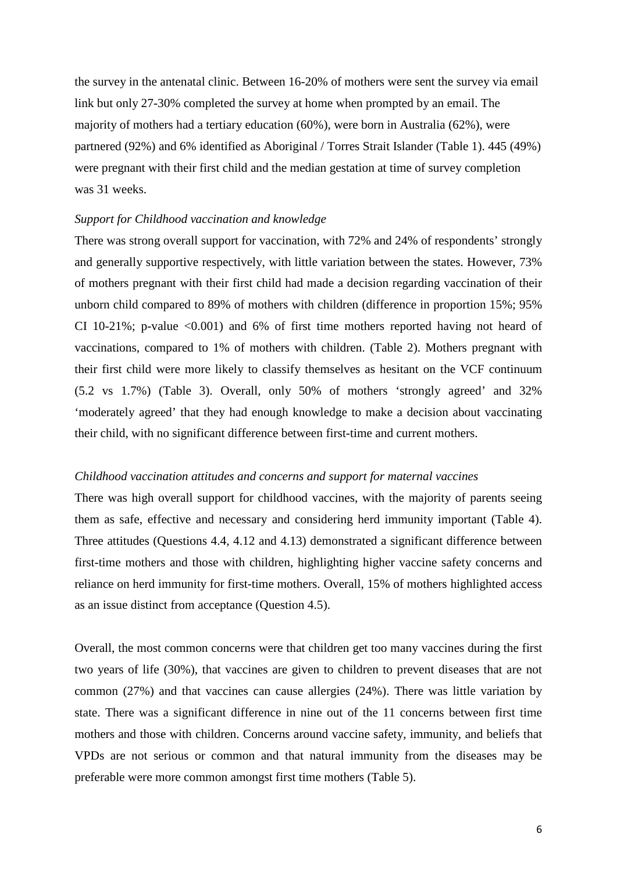the survey in the antenatal clinic. Between 16-20% of mothers were sent the survey via email link but only 27-30% completed the survey at home when prompted by an email. The majority of mothers had a tertiary education (60%), were born in Australia (62%), were partnered (92%) and 6% identified as Aboriginal / Torres Strait Islander (Table 1). 445 (49%) were pregnant with their first child and the median gestation at time of survey completion was 31 weeks.

## *Support for Childhood vaccination and knowledge*

There was strong overall support for vaccination, with 72% and 24% of respondents' strongly and generally supportive respectively, with little variation between the states. However, 73% of mothers pregnant with their first child had made a decision regarding vaccination of their unborn child compared to 89% of mothers with children (difference in proportion 15%; 95% CI 10-21%; p-value  $\langle 0.001 \rangle$  and 6% of first time mothers reported having not heard of vaccinations, compared to 1% of mothers with children. (Table 2). Mothers pregnant with their first child were more likely to classify themselves as hesitant on the VCF continuum (5.2 vs 1.7%) (Table 3). Overall, only 50% of mothers 'strongly agreed' and 32% 'moderately agreed' that they had enough knowledge to make a decision about vaccinating their child, with no significant difference between first-time and current mothers.

# *Childhood vaccination attitudes and concerns and support for maternal vaccines*

There was high overall support for childhood vaccines, with the majority of parents seeing them as safe, effective and necessary and considering herd immunity important (Table 4). Three attitudes (Questions 4.4, 4.12 and 4.13) demonstrated a significant difference between first-time mothers and those with children, highlighting higher vaccine safety concerns and reliance on herd immunity for first-time mothers. Overall, 15% of mothers highlighted access as an issue distinct from acceptance (Question 4.5).

Overall, the most common concerns were that children get too many vaccines during the first two years of life (30%), that vaccines are given to children to prevent diseases that are not common (27%) and that vaccines can cause allergies (24%). There was little variation by state. There was a significant difference in nine out of the 11 concerns between first time mothers and those with children. Concerns around vaccine safety, immunity, and beliefs that VPDs are not serious or common and that natural immunity from the diseases may be preferable were more common amongst first time mothers (Table 5).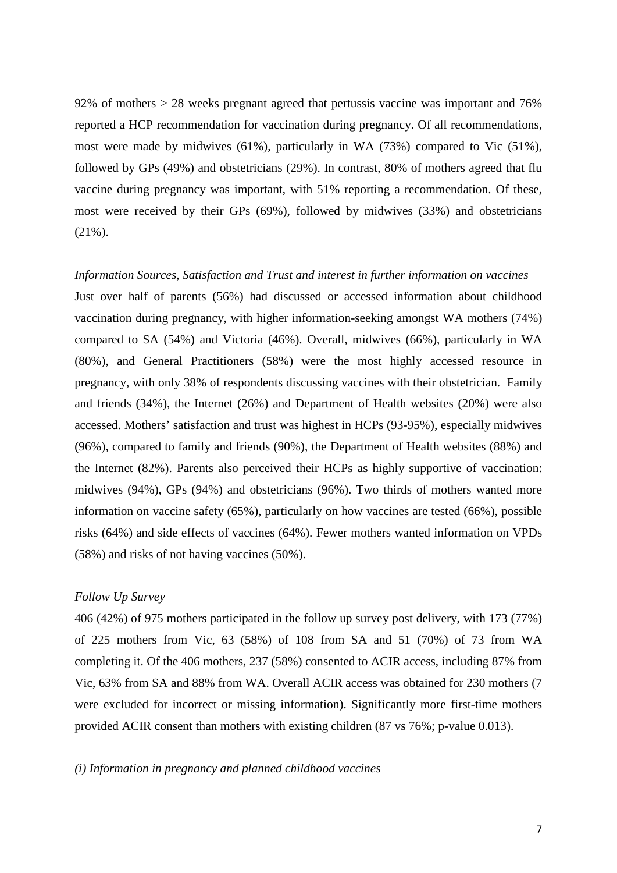92% of mothers > 28 weeks pregnant agreed that pertussis vaccine was important and 76% reported a HCP recommendation for vaccination during pregnancy. Of all recommendations, most were made by midwives (61%), particularly in WA (73%) compared to Vic (51%), followed by GPs (49%) and obstetricians (29%). In contrast, 80% of mothers agreed that flu vaccine during pregnancy was important, with 51% reporting a recommendation. Of these, most were received by their GPs (69%), followed by midwives (33%) and obstetricians  $(21\%)$ .

## *Information Sources, Satisfaction and Trust and interest in further information on vaccines*

Just over half of parents (56%) had discussed or accessed information about childhood vaccination during pregnancy, with higher information-seeking amongst WA mothers (74%) compared to SA (54%) and Victoria (46%). Overall, midwives (66%), particularly in WA (80%), and General Practitioners (58%) were the most highly accessed resource in pregnancy, with only 38% of respondents discussing vaccines with their obstetrician. Family and friends (34%), the Internet (26%) and Department of Health websites (20%) were also accessed. Mothers' satisfaction and trust was highest in HCPs (93-95%), especially midwives (96%), compared to family and friends (90%), the Department of Health websites (88%) and the Internet (82%). Parents also perceived their HCPs as highly supportive of vaccination: midwives (94%), GPs (94%) and obstetricians (96%). Two thirds of mothers wanted more information on vaccine safety (65%), particularly on how vaccines are tested (66%), possible risks (64%) and side effects of vaccines (64%). Fewer mothers wanted information on VPDs (58%) and risks of not having vaccines (50%).

# *Follow Up Survey*

406 (42%) of 975 mothers participated in the follow up survey post delivery, with 173 (77%) of 225 mothers from Vic, 63 (58%) of 108 from SA and 51 (70%) of 73 from WA completing it. Of the 406 mothers, 237 (58%) consented to ACIR access, including 87% from Vic, 63% from SA and 88% from WA. Overall ACIR access was obtained for 230 mothers (7 were excluded for incorrect or missing information). Significantly more first-time mothers provided ACIR consent than mothers with existing children (87 vs 76%; p-value 0.013).

# *(i) Information in pregnancy and planned childhood vaccines*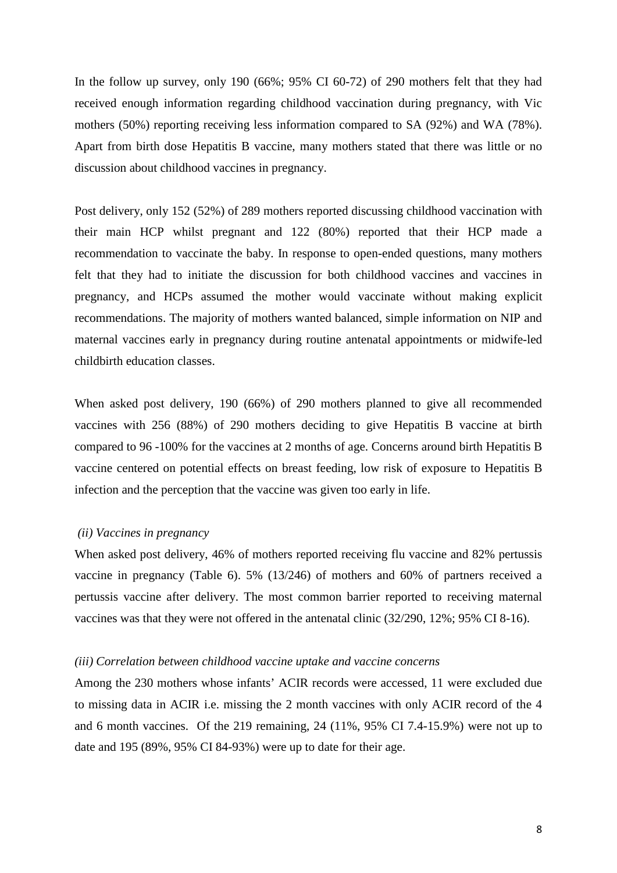In the follow up survey, only 190 (66%; 95% CI 60-72) of 290 mothers felt that they had received enough information regarding childhood vaccination during pregnancy, with Vic mothers (50%) reporting receiving less information compared to SA (92%) and WA (78%). Apart from birth dose Hepatitis B vaccine, many mothers stated that there was little or no discussion about childhood vaccines in pregnancy.

Post delivery, only 152 (52%) of 289 mothers reported discussing childhood vaccination with their main HCP whilst pregnant and 122 (80%) reported that their HCP made a recommendation to vaccinate the baby. In response to open-ended questions, many mothers felt that they had to initiate the discussion for both childhood vaccines and vaccines in pregnancy, and HCPs assumed the mother would vaccinate without making explicit recommendations. The majority of mothers wanted balanced, simple information on NIP and maternal vaccines early in pregnancy during routine antenatal appointments or midwife-led childbirth education classes.

When asked post delivery, 190 (66%) of 290 mothers planned to give all recommended vaccines with 256 (88%) of 290 mothers deciding to give Hepatitis B vaccine at birth compared to 96 -100% for the vaccines at 2 months of age. Concerns around birth Hepatitis B vaccine centered on potential effects on breast feeding, low risk of exposure to Hepatitis B infection and the perception that the vaccine was given too early in life.

#### *(ii) Vaccines in pregnancy*

When asked post delivery, 46% of mothers reported receiving flu vaccine and 82% pertussis vaccine in pregnancy (Table 6). 5% (13/246) of mothers and 60% of partners received a pertussis vaccine after delivery. The most common barrier reported to receiving maternal vaccines was that they were not offered in the antenatal clinic (32/290, 12%; 95% CI 8-16).

# *(iii) Correlation between childhood vaccine uptake and vaccine concerns*

Among the 230 mothers whose infants' ACIR records were accessed, 11 were excluded due to missing data in ACIR i.e. missing the 2 month vaccines with only ACIR record of the 4 and 6 month vaccines. Of the 219 remaining, 24 (11%, 95% CI 7.4-15.9%) were not up to date and 195 (89%, 95% CI 84-93%) were up to date for their age.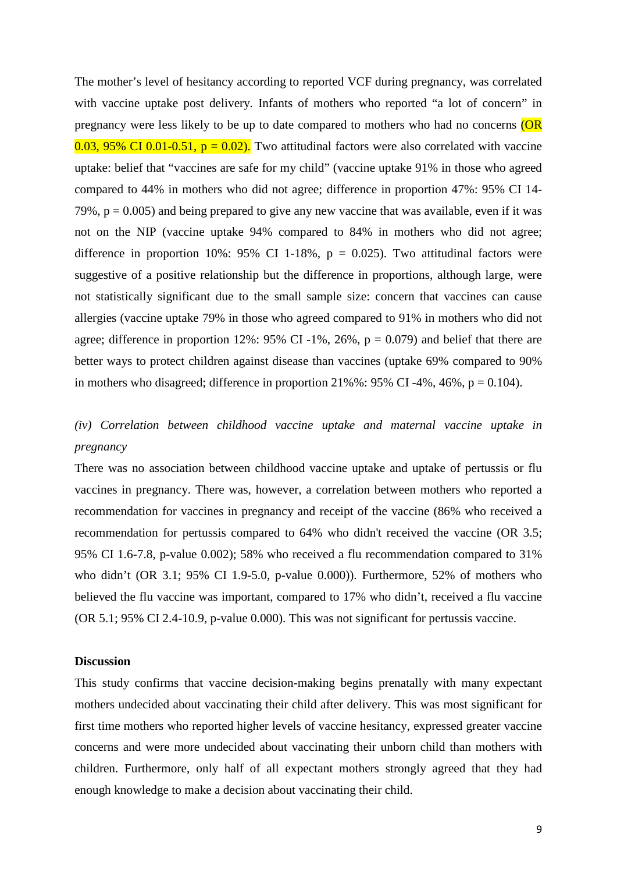The mother's level of hesitancy according to reported VCF during pregnancy, was correlated with vaccine uptake post delivery. Infants of mothers who reported "a lot of concern" in pregnancy were less likely to be up to date compared to mothers who had no concerns (OR  $0.03$ , 95% CI 0.01-0.51,  $p = 0.02$ ). Two attitudinal factors were also correlated with vaccine uptake: belief that "vaccines are safe for my child" (vaccine uptake 91% in those who agreed compared to 44% in mothers who did not agree; difference in proportion 47%: 95% CI 14- 79%,  $p = 0.005$ ) and being prepared to give any new vaccine that was available, even if it was not on the NIP (vaccine uptake 94% compared to 84% in mothers who did not agree; difference in proportion 10%: 95% CI 1-18%,  $p = 0.025$ ). Two attitudinal factors were suggestive of a positive relationship but the difference in proportions, although large, were not statistically significant due to the small sample size: concern that vaccines can cause allergies (vaccine uptake 79% in those who agreed compared to 91% in mothers who did not agree; difference in proportion 12%:  $95\%$  CI-1%,  $26\%$ ,  $p = 0.079$ ) and belief that there are better ways to protect children against disease than vaccines (uptake 69% compared to 90% in mothers who disagreed; difference in proportion  $21\%$ %: 95% CI -4%, 46%, p = 0.104).

# *(iv) Correlation between childhood vaccine uptake and maternal vaccine uptake in pregnancy*

There was no association between childhood vaccine uptake and uptake of pertussis or flu vaccines in pregnancy. There was, however, a correlation between mothers who reported a recommendation for vaccines in pregnancy and receipt of the vaccine (86% who received a recommendation for pertussis compared to 64% who didn't received the vaccine (OR 3.5; 95% CI 1.6-7.8, p-value 0.002); 58% who received a flu recommendation compared to 31% who didn't (OR 3.1; 95% CI 1.9-5.0, p-value 0.000)). Furthermore, 52% of mothers who believed the flu vaccine was important, compared to 17% who didn't, received a flu vaccine (OR 5.1; 95% CI 2.4-10.9, p-value 0.000). This was not significant for pertussis vaccine.

# **Discussion**

This study confirms that vaccine decision-making begins prenatally with many expectant mothers undecided about vaccinating their child after delivery. This was most significant for first time mothers who reported higher levels of vaccine hesitancy, expressed greater vaccine concerns and were more undecided about vaccinating their unborn child than mothers with children. Furthermore, only half of all expectant mothers strongly agreed that they had enough knowledge to make a decision about vaccinating their child.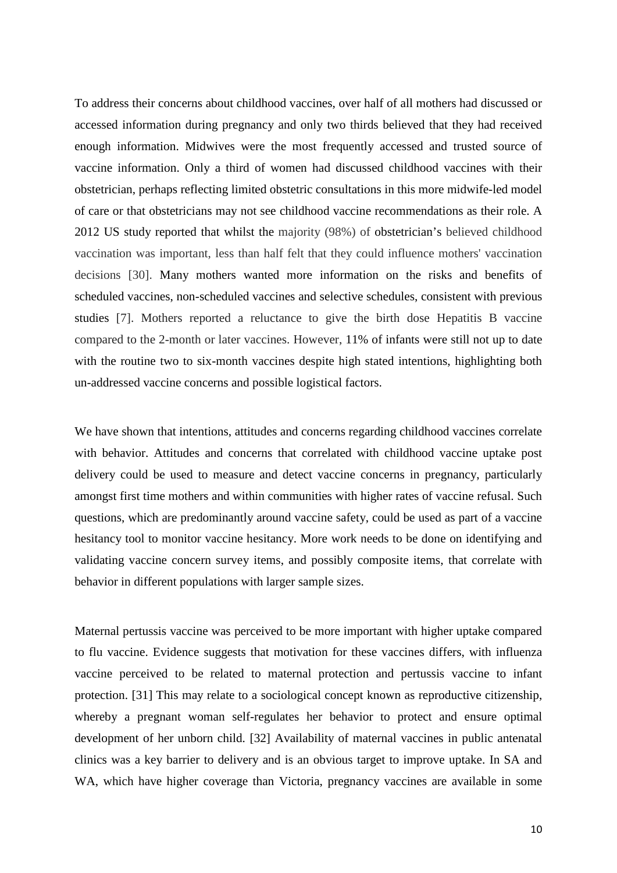To address their concerns about childhood vaccines, over half of all mothers had discussed or accessed information during pregnancy and only two thirds believed that they had received enough information. Midwives were the most frequently accessed and trusted source of vaccine information. Only a third of women had discussed childhood vaccines with their obstetrician, perhaps reflecting limited obstetric consultations in this more midwife-led model of care or that obstetricians may not see childhood vaccine recommendations as their role. A 2012 US study reported that whilst the majority (98%) of obstetrician's believed childhood vaccination was important, less than half felt that they could influence mothers' vaccination decisions [30]. Many mothers wanted more information on the risks and benefits of scheduled vaccines, non-scheduled vaccines and selective schedules, consistent with previous studies [7]. Mothers reported a reluctance to give the birth dose Hepatitis B vaccine compared to the 2-month or later vaccines. However, 11% of infants were still not up to date with the routine two to six-month vaccines despite high stated intentions, highlighting both un-addressed vaccine concerns and possible logistical factors.

We have shown that intentions, attitudes and concerns regarding childhood vaccines correlate with behavior. Attitudes and concerns that correlated with childhood vaccine uptake post delivery could be used to measure and detect vaccine concerns in pregnancy, particularly amongst first time mothers and within communities with higher rates of vaccine refusal. Such questions, which are predominantly around vaccine safety, could be used as part of a vaccine hesitancy tool to monitor vaccine hesitancy. More work needs to be done on identifying and validating vaccine concern survey items, and possibly composite items, that correlate with behavior in different populations with larger sample sizes.

Maternal pertussis vaccine was perceived to be more important with higher uptake compared to flu vaccine. Evidence suggests that motivation for these vaccines differs, with influenza vaccine perceived to be related to maternal protection and pertussis vaccine to infant protection. [31] This may relate to a sociological concept known as reproductive citizenship, whereby a pregnant woman self-regulates her behavior to protect and ensure optimal development of her unborn child. [32] Availability of maternal vaccines in public antenatal clinics was a key barrier to delivery and is an obvious target to improve uptake. In SA and WA, which have higher coverage than Victoria, pregnancy vaccines are available in some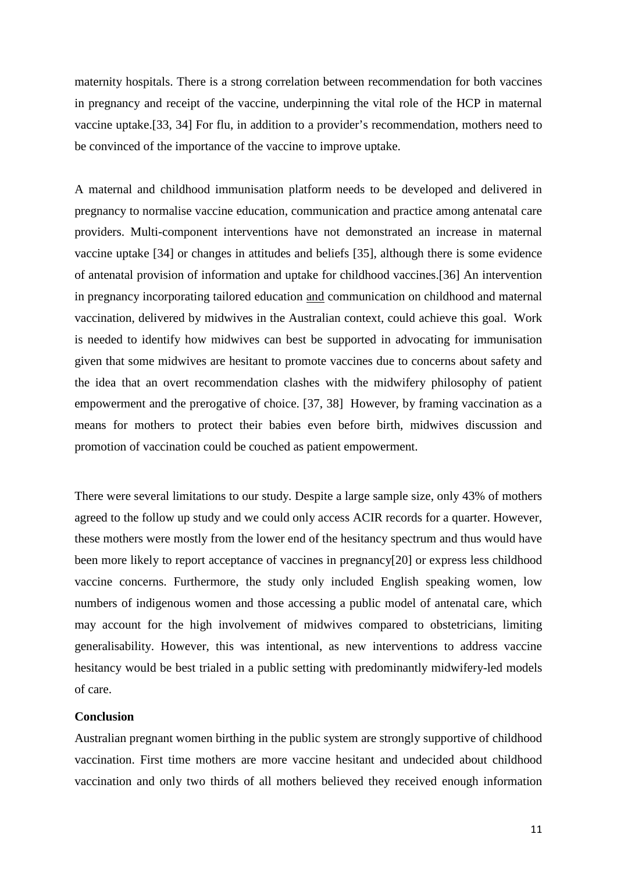maternity hospitals. There is a strong correlation between recommendation for both vaccines in pregnancy and receipt of the vaccine, underpinning the vital role of the HCP in maternal vaccine uptake.[33, 34] For flu, in addition to a provider's recommendation, mothers need to be convinced of the importance of the vaccine to improve uptake.

A maternal and childhood immunisation platform needs to be developed and delivered in pregnancy to normalise vaccine education, communication and practice among antenatal care providers. Multi-component interventions have not demonstrated an increase in maternal vaccine uptake [34] or changes in attitudes and beliefs [35], although there is some evidence of antenatal provision of information and uptake for childhood vaccines.[36] An intervention in pregnancy incorporating tailored education and communication on childhood and maternal vaccination, delivered by midwives in the Australian context, could achieve this goal. Work is needed to identify how midwives can best be supported in advocating for immunisation given that some midwives are hesitant to promote vaccines due to concerns about safety and the idea that an overt recommendation clashes with the midwifery philosophy of patient empowerment and the prerogative of choice. [37, 38] However, by framing vaccination as a means for mothers to protect their babies even before birth, midwives discussion and promotion of vaccination could be couched as patient empowerment.

There were several limitations to our study. Despite a large sample size, only 43% of mothers agreed to the follow up study and we could only access ACIR records for a quarter. However, these mothers were mostly from the lower end of the hesitancy spectrum and thus would have been more likely to report acceptance of vaccines in pregnancy[20] or express less childhood vaccine concerns. Furthermore, the study only included English speaking women, low numbers of indigenous women and those accessing a public model of antenatal care, which may account for the high involvement of midwives compared to obstetricians, limiting generalisability. However, this was intentional, as new interventions to address vaccine hesitancy would be best trialed in a public setting with predominantly midwifery-led models of care.

# **Conclusion**

Australian pregnant women birthing in the public system are strongly supportive of childhood vaccination. First time mothers are more vaccine hesitant and undecided about childhood vaccination and only two thirds of all mothers believed they received enough information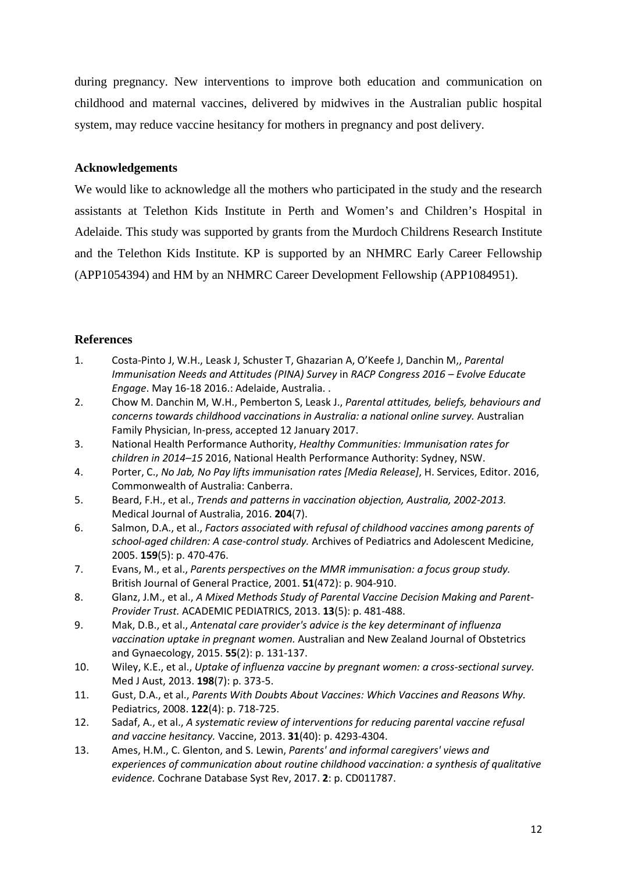during pregnancy. New interventions to improve both education and communication on childhood and maternal vaccines, delivered by midwives in the Australian public hospital system, may reduce vaccine hesitancy for mothers in pregnancy and post delivery.

# **Acknowledgements**

We would like to acknowledge all the mothers who participated in the study and the research assistants at Telethon Kids Institute in Perth and Women's and Children's Hospital in Adelaide. This study was supported by grants from the Murdoch Childrens Research Institute and the Telethon Kids Institute. KP is supported by an NHMRC Early Career Fellowship (APP1054394) and HM by an NHMRC Career Development Fellowship (APP1084951).

# **References**

- 1. Costa-Pinto J, W.H., Leask J, Schuster T, Ghazarian A, O'Keefe J, Danchin M,, *Parental Immunisation Needs and Attitudes (PINA) Survey* in *RACP Congress 2016 – Evolve Educate Engage*. May 16-18 2016.: Adelaide, Australia. .
- 2. Chow M. Danchin M, W.H., Pemberton S, Leask J., *Parental attitudes, beliefs, behaviours and concerns towards childhood vaccinations in Australia: a national online survey.* Australian Family Physician, In-press, accepted 12 January 2017.
- 3. National Health Performance Authority, *Healthy Communities: Immunisation rates for children in 2014–15* 2016, National Health Performance Authority: Sydney, NSW.
- 4. Porter, C., *No Jab, No Pay lifts immunisation rates [Media Release]*, H. Services, Editor. 2016, Commonwealth of Australia: Canberra.
- 5. Beard, F.H., et al., *Trends and patterns in vaccination objection, Australia, 2002-2013.* Medical Journal of Australia, 2016. **204**(7).
- 6. Salmon, D.A., et al., *Factors associated with refusal of childhood vaccines among parents of school-aged children: A case-control study.* Archives of Pediatrics and Adolescent Medicine, 2005. **159**(5): p. 470-476.
- 7. Evans, M., et al., *Parents perspectives on the MMR immunisation: a focus group study.* British Journal of General Practice, 2001. **51**(472): p. 904-910.
- 8. Glanz, J.M., et al., *A Mixed Methods Study of Parental Vaccine Decision Making and Parent-Provider Trust.* ACADEMIC PEDIATRICS, 2013. **13**(5): p. 481-488.
- 9. Mak, D.B., et al., *Antenatal care provider's advice is the key determinant of influenza vaccination uptake in pregnant women.* Australian and New Zealand Journal of Obstetrics and Gynaecology, 2015. **55**(2): p. 131-137.
- 10. Wiley, K.E., et al., *Uptake of influenza vaccine by pregnant women: a cross-sectional survey.* Med J Aust, 2013. **198**(7): p. 373-5.
- 11. Gust, D.A., et al., *Parents With Doubts About Vaccines: Which Vaccines and Reasons Why.* Pediatrics, 2008. **122**(4): p. 718-725.
- 12. Sadaf, A., et al., *A systematic review of interventions for reducing parental vaccine refusal and vaccine hesitancy.* Vaccine, 2013. **31**(40): p. 4293-4304.
- 13. Ames, H.M., C. Glenton, and S. Lewin, *Parents' and informal caregivers' views and experiences of communication about routine childhood vaccination: a synthesis of qualitative evidence.* Cochrane Database Syst Rev, 2017. **2**: p. CD011787.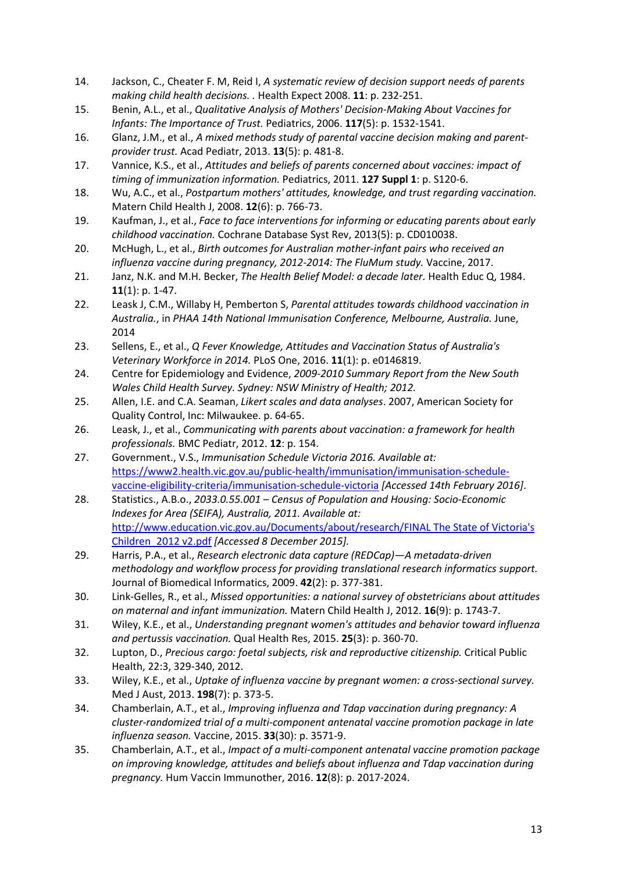- 14. Jackson, C., Cheater F. M, Reid I, *A systematic review of decision support needs of parents making child health decisions. .* Health Expect 2008. **11**: p. 232-251.
- 15. Benin, A.L., et al., *Qualitative Analysis of Mothers' Decision-Making About Vaccines for Infants: The Importance of Trust.* Pediatrics, 2006. **117**(5): p. 1532-1541.
- 16. Glanz, J.M., et al., *A mixed methods study of parental vaccine decision making and parentprovider trust.* Acad Pediatr, 2013. **13**(5): p. 481-8.
- 17. Vannice, K.S., et al., *Attitudes and beliefs of parents concerned about vaccines: impact of timing of immunization information.* Pediatrics, 2011. **127 Suppl 1**: p. S120-6.
- 18. Wu, A.C., et al., *Postpartum mothers' attitudes, knowledge, and trust regarding vaccination.* Matern Child Health J, 2008. **12**(6): p. 766-73.
- 19. Kaufman, J., et al., *Face to face interventions for informing or educating parents about early childhood vaccination.* Cochrane Database Syst Rev, 2013(5): p. CD010038.
- 20. McHugh, L., et al., *Birth outcomes for Australian mother-infant pairs who received an influenza vaccine during pregnancy, 2012-2014: The FluMum study.* Vaccine, 2017.
- 21. Janz, N.K. and M.H. Becker, *The Health Belief Model: a decade later.* Health Educ Q, 1984. **11**(1): p. 1-47.
- 22. Leask J, C.M., Willaby H, Pemberton S, *Parental attitudes towards childhood vaccination in Australia.*, in *PHAA 14th National Immunisation Conference, Melbourne, Australia.* June, 2014
- 23. Sellens, E., et al., *Q Fever Knowledge, Attitudes and Vaccination Status of Australia's Veterinary Workforce in 2014.* PLoS One, 2016. **11**(1): p. e0146819.
- 24. Centre for Epidemiology and Evidence, *2009-2010 Summary Report from the New South Wales Child Health Survey. Sydney: NSW Ministry of Health; 2012.*
- 25. Allen, I.E. and C.A. Seaman, *Likert scales and data analyses*. 2007, American Society for Quality Control, Inc: Milwaukee. p. 64-65.
- 26. Leask, J., et al., *Communicating with parents about vaccination: a framework for health professionals.* BMC Pediatr, 2012. **12**: p. 154.
- 27. Government., V.S., *Immunisation Schedule Victoria 2016. Available at:*  [https://www2.health.vic.gov.au/public-health/immunisation/immunisation-schedule](https://www2.health.vic.gov.au/public-health/immunisation/immunisation-schedule-vaccine-eligibility-criteria/immunisation-schedule-victoria)[vaccine-eligibility-criteria/immunisation-schedule-victoria](https://www2.health.vic.gov.au/public-health/immunisation/immunisation-schedule-vaccine-eligibility-criteria/immunisation-schedule-victoria) *[Accessed 14th February 2016]*.
- 28. Statistics., A.B.o., *2033.0.55.001 – Census of Population and Housing: Socio-Economic Indexes for Area (SEIFA), Australia, 2011. Available at:*  [http://www.education.vic.gov.au/Documents/about/research/FINAL The State of Victoria's](http://www.education.vic.gov.au/Documents/about/research/FINAL%20The%20State%20of%20Victoria)  [Children\\_2012 v2.pdf](http://www.education.vic.gov.au/Documents/about/research/FINAL%20The%20State%20of%20Victoria) *[Accessed 8 December 2015].*
- 29. Harris, P.A., et al., *Research electronic data capture (REDCap)—A metadata-driven methodology and workflow process for providing translational research informatics support.* Journal of Biomedical Informatics, 2009. **42**(2): p. 377-381.
- 30. Link-Gelles, R., et al., *Missed opportunities: a national survey of obstetricians about attitudes on maternal and infant immunization.* Matern Child Health J, 2012. **16**(9): p. 1743-7.
- 31. Wiley, K.E., et al., *Understanding pregnant women's attitudes and behavior toward influenza and pertussis vaccination.* Qual Health Res, 2015. **25**(3): p. 360-70.
- 32. Lupton, D., *Precious cargo: foetal subjects, risk and reproductive citizenship.* Critical Public Health, 22:3, 329-340, 2012.
- 33. Wiley, K.E., et al., *Uptake of influenza vaccine by pregnant women: a cross-sectional survey.* Med J Aust, 2013. **198**(7): p. 373-5.
- 34. Chamberlain, A.T., et al., *Improving influenza and Tdap vaccination during pregnancy: A cluster-randomized trial of a multi-component antenatal vaccine promotion package in late influenza season.* Vaccine, 2015. **33**(30): p. 3571-9.
- 35. Chamberlain, A.T., et al., *Impact of a multi-component antenatal vaccine promotion package on improving knowledge, attitudes and beliefs about influenza and Tdap vaccination during pregnancy.* Hum Vaccin Immunother, 2016. **12**(8): p. 2017-2024.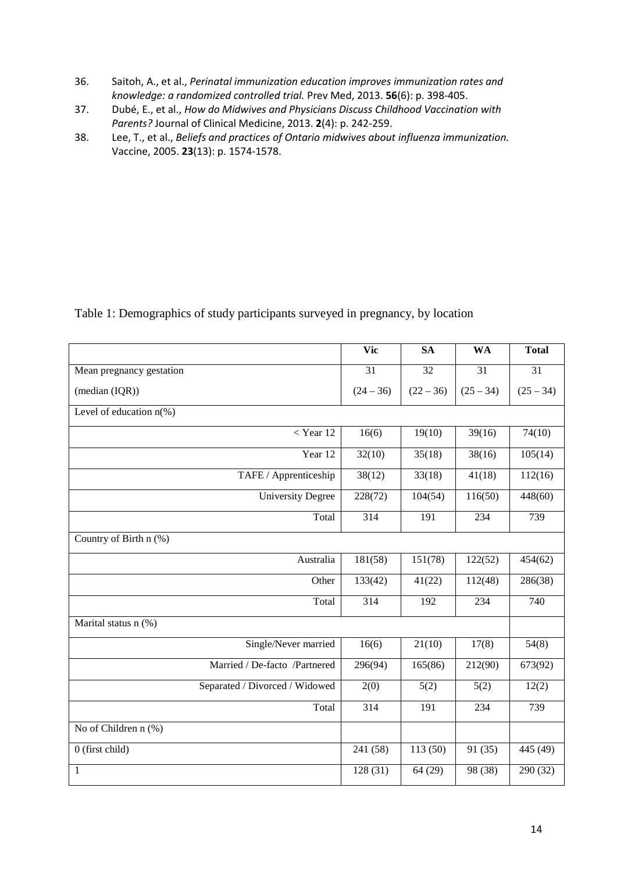- 36. Saitoh, A., et al., *Perinatal immunization education improves immunization rates and knowledge: a randomized controlled trial.* Prev Med, 2013. **56**(6): p. 398-405.
- 37. Dubé, E., et al., *How do Midwives and Physicians Discuss Childhood Vaccination with Parents?* Journal of Clinical Medicine, 2013. **2**(4): p. 242-259.
- 38. Lee, T., et al., *Beliefs and practices of Ontario midwives about influenza immunization.* Vaccine, 2005. **23**(13): p. 1574-1578.

Table 1: Demographics of study participants surveyed in pregnancy, by location

|                                | <b>Vic</b>  | <b>SA</b>   | <b>WA</b>   | <b>Total</b> |
|--------------------------------|-------------|-------------|-------------|--------------|
| Mean pregnancy gestation       | 31          | 32          | 31          | 31           |
| (median (IQR))                 | $(24 - 36)$ | $(22 - 36)$ | $(25 - 34)$ | $(25 - 34)$  |
| Level of education $n$ (%)     |             |             |             |              |
| $<$ Year 12                    | 16(6)       | 19(10)      | 39(16)      | 74(10)       |
| Year 12                        | 32(10)      | 35(18)      | 38(16)      | 105(14)      |
| TAFE / Apprenticeship          | 38(12)      | 33(18)      | 41(18)      | 112(16)      |
| <b>University Degree</b>       | 228(72)     | 104(54)     | 116(50)     | 448(60)      |
| Total                          | 314         | 191         | 234         | 739          |
| Country of Birth n (%)         |             |             |             |              |
| Australia                      | 181(58)     | 151(78)     | 122(52)     | 454(62)      |
| Other                          | 133(42)     | 41(22)      | 112(48)     | 286(38)      |
| Total                          | 314         | 192         | 234         | 740          |
| Marital status n (%)           |             |             |             |              |
| Single/Never married           | 16(6)       | 21(10)      | 17(8)       | 54(8)        |
| Married / De-facto /Partnered  | 296(94)     | 165(86)     | 212(90)     | 673(92)      |
| Separated / Divorced / Widowed | 2(0)        | 5(2)        | 5(2)        | 12(2)        |
| Total                          | 314         | 191         | 234         | 739          |
| No of Children n (%)           |             |             |             |              |
| $0$ (first child)              | 241 (58)    | 113(50)     | 91 (35)     | 445 (49)     |
| $\mathbf{1}$                   | 128(31)     | 64(29)      | 98 (38)     | 290 (32)     |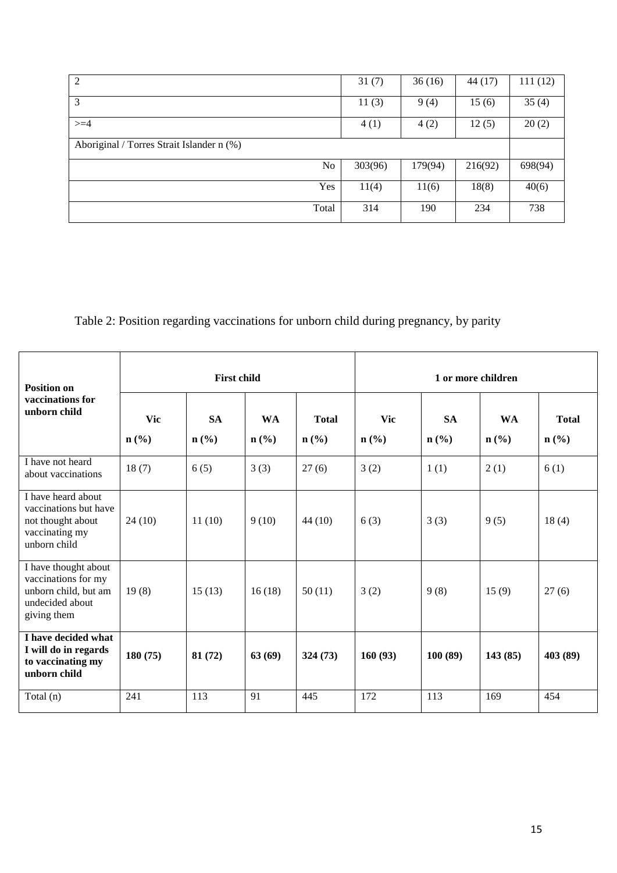| 2                                         | 31(7)   | 36(16)  | 44 (17) | 111(12) |
|-------------------------------------------|---------|---------|---------|---------|
| 3                                         | 11(3)   | 9(4)    | 15(6)   | 35(4)   |
| $>=$ 4                                    | 4(1)    | 4(2)    | 12(5)   | 20(2)   |
| Aboriginal / Torres Strait Islander n (%) |         |         |         |         |
| No                                        | 303(96) | 179(94) | 216(92) | 698(94) |
| Yes                                       | 11(4)   | 11(6)   | 18(8)   | 40(6)   |
| Total                                     | 314     | 190     | 234     | 738     |

Table 2: Position regarding vaccinations for unborn child during pregnancy, by parity

| <b>Position on</b>                                                                                    | <b>First child</b>    |                                          |                      |                                             | 1 or more children    |                                          |                      |                                             |
|-------------------------------------------------------------------------------------------------------|-----------------------|------------------------------------------|----------------------|---------------------------------------------|-----------------------|------------------------------------------|----------------------|---------------------------------------------|
| vaccinations for<br>unborn child                                                                      | <b>Vic</b><br>$n$ (%) | <b>SA</b><br>$n\left(\frac{0}{0}\right)$ | <b>WA</b><br>$n$ (%) | <b>Total</b><br>$n\left(\frac{9}{6}\right)$ | <b>Vic</b><br>$n$ (%) | <b>SA</b><br>$n\left(\frac{6}{6}\right)$ | <b>WA</b><br>$n$ (%) | <b>Total</b><br>$n\left(\frac{0}{0}\right)$ |
| I have not heard<br>about vaccinations                                                                | 18(7)                 | 6(5)                                     | 3(3)                 | 27(6)                                       | 3(2)                  | 1(1)                                     | 2(1)                 | 6(1)                                        |
| I have heard about<br>vaccinations but have<br>not thought about<br>vaccinating my<br>unborn child    | 24(10)                | 11(10)                                   | 9(10)                | 44(10)                                      | 6(3)                  | 3(3)                                     | 9(5)                 | 18(4)                                       |
| I have thought about<br>vaccinations for my<br>unborn child, but am<br>undecided about<br>giving them | 19(8)                 | 15(13)                                   | 16(18)               | 50(11)                                      | 3(2)                  | 9(8)                                     | 15(9)                | 27(6)                                       |
| I have decided what<br>I will do in regards<br>to vaccinating my<br>unborn child                      | 180(75)               | 81 (72)                                  | 63(69)               | 324(73)                                     | 160(93)               | 100(89)                                  | 143(85)              | 403 (89)                                    |
| Total $(n)$                                                                                           | 241                   | 113                                      | 91                   | 445                                         | 172                   | 113                                      | 169                  | 454                                         |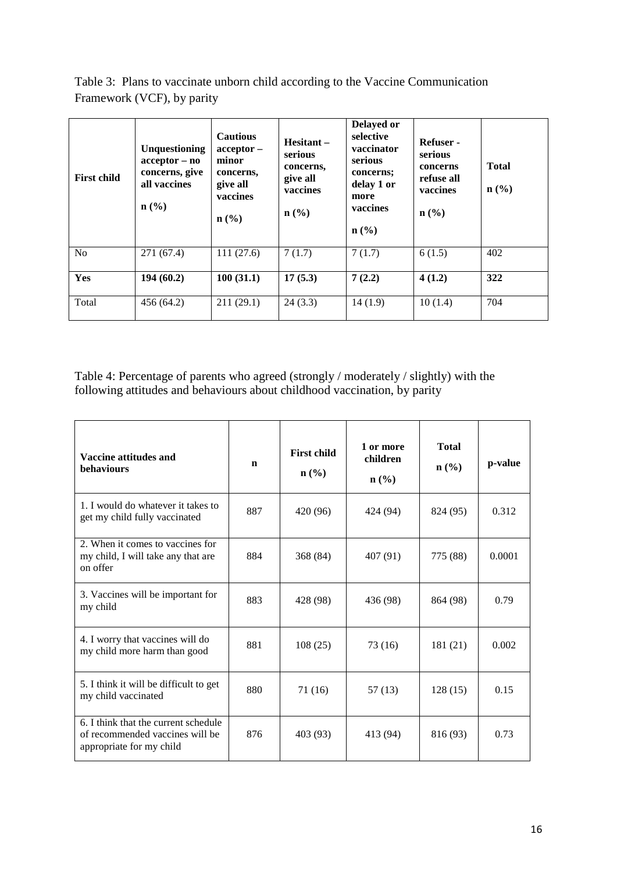Table 3: Plans to vaccinate unborn child according to the Vaccine Communication Framework (VCF), by parity

| <b>First child</b> | Unquestioning<br>$acceptor - no$<br>concerns, give<br>all vaccines<br>n(%) | <b>Cautious</b><br>$acceptor -$<br>minor<br>concerns,<br>give all<br>vaccines<br>$n\left(\frac{9}{6}\right)$ | Hesitant-<br>serious<br>concerns,<br>give all<br>vaccines<br>$n$ (%) | <b>Delayed or</b><br>selective<br>vaccinator<br>serious<br>concerns;<br>delay 1 or<br>more<br>vaccines<br>$n\left(\frac{0}{0}\right)$ | Refuser -<br>serious<br>concerns<br>refuse all<br>vaccines<br>$n\left(\frac{0}{0}\right)$ | <b>Total</b><br>$n\left(\frac{0}{0}\right)$ |
|--------------------|----------------------------------------------------------------------------|--------------------------------------------------------------------------------------------------------------|----------------------------------------------------------------------|---------------------------------------------------------------------------------------------------------------------------------------|-------------------------------------------------------------------------------------------|---------------------------------------------|
| N <sub>o</sub>     | 271(67.4)                                                                  | 111(27.6)                                                                                                    | 7(1.7)                                                               | 7(1.7)                                                                                                                                | 6(1.5)                                                                                    | 402                                         |
| Yes                | 194(60.2)                                                                  | 100(31.1)                                                                                                    | 17(5.3)                                                              | 7(2.2)                                                                                                                                | 4(1.2)                                                                                    | 322                                         |
| Total              | 456 (64.2)                                                                 | 211(29.1)                                                                                                    | 24(3.3)                                                              | 14(1.9)                                                                                                                               | 10(1.4)                                                                                   | 704                                         |

Table 4: Percentage of parents who agreed (strongly / moderately / slightly) with the following attitudes and behaviours about childhood vaccination, by parity

| Vaccine attitudes and<br><b>behaviours</b>                                                          | $\mathbf n$     | <b>First child</b><br>$\mathbf{n}(\%)$ | 1 or more<br>children<br>$n\left(\frac{0}{0}\right)$ |          | p-value |
|-----------------------------------------------------------------------------------------------------|-----------------|----------------------------------------|------------------------------------------------------|----------|---------|
| 1. I would do whatever it takes to<br>get my child fully vaccinated                                 | 887             | 420 (96)<br>424 (94)                   |                                                      | 824 (95) | 0.312   |
| 2. When it comes to vaccines for<br>my child, I will take any that are<br>on offer                  | 884             | 368 (84)                               | 407 (91)                                             | 775 (88) | 0.0001  |
| 3. Vaccines will be important for<br>my child                                                       | 883<br>428 (98) |                                        | 436 (98)                                             | 864 (98) | 0.79    |
| 4. I worry that vaccines will do<br>my child more harm than good                                    | 881<br>108(25)  |                                        | 73 (16)                                              | 181 (21) | 0.002   |
| 5. I think it will be difficult to get<br>my child vaccinated                                       | 880             | 71 (16)                                | 57 (13)                                              | 128(15)  | 0.15    |
| 6. I think that the current schedule<br>of recommended vaccines will be<br>appropriate for my child | 876             | 403 (93)                               | 413 (94)                                             | 816 (93) | 0.73    |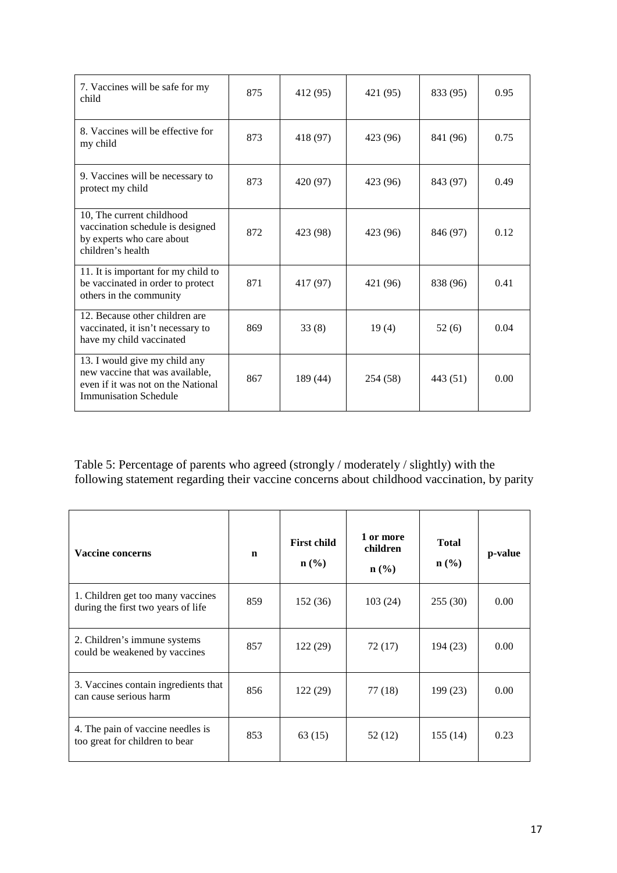| 7. Vaccines will be safe for my<br>child                                                                                               | 875 | 412 (95) | 421 (95) | 833 (95) | 0.95 |
|----------------------------------------------------------------------------------------------------------------------------------------|-----|----------|----------|----------|------|
| 8. Vaccines will be effective for<br>my child                                                                                          | 873 | 418 (97) | 423 (96) | 841 (96) | 0.75 |
| 9. Vaccines will be necessary to<br>protect my child                                                                                   | 873 | 420 (97) | 423 (96) | 843 (97) | 0.49 |
| 10. The current childhood<br>vaccination schedule is designed<br>by experts who care about<br>children's health                        | 872 | 423 (98) | 423 (96) | 846 (97) | 0.12 |
| 11. It is important for my child to<br>be vaccinated in order to protect<br>others in the community                                    | 871 | 417 (97) | 421 (96) | 838 (96) | 0.41 |
| 12. Because other children are<br>vaccinated, it isn't necessary to<br>have my child vaccinated                                        | 869 | 33(8)    | 19(4)    | 52(6)    | 0.04 |
| 13. I would give my child any<br>new vaccine that was available,<br>even if it was not on the National<br><b>Immunisation Schedule</b> | 867 | 189 (44) | 254 (58) | 443 (51) | 0.00 |

Table 5: Percentage of parents who agreed (strongly / moderately / slightly) with the following statement regarding their vaccine concerns about childhood vaccination, by parity

| <b>Vaccine concerns</b>                                                 | $\mathbf n$ | <b>First child</b><br>$\mathbf{n}(\%)$ | 1 or more<br>children<br>$\mathbf{n}(\%)$ | <b>Total</b><br>$\mathbf{n}(\%)$ | p-value |
|-------------------------------------------------------------------------|-------------|----------------------------------------|-------------------------------------------|----------------------------------|---------|
| 1. Children get too many vaccines<br>during the first two years of life | 859         | 152(36)                                | 103(24)                                   | 255(30)                          | 0.00    |
| 2. Children's immune systems<br>could be weakened by vaccines           | 857         | 122 (29)                               | 72 (17)                                   | 194 (23)                         | 0.00    |
| 3. Vaccines contain ingredients that<br>can cause serious harm          | 856         | 122(29)                                | 77 (18)                                   | 199 (23)                         | 0.00    |
| 4. The pain of vaccine needles is<br>too great for children to bear     | 853         | 63(15)                                 | 52 (12)                                   | 155(14)                          | 0.23    |